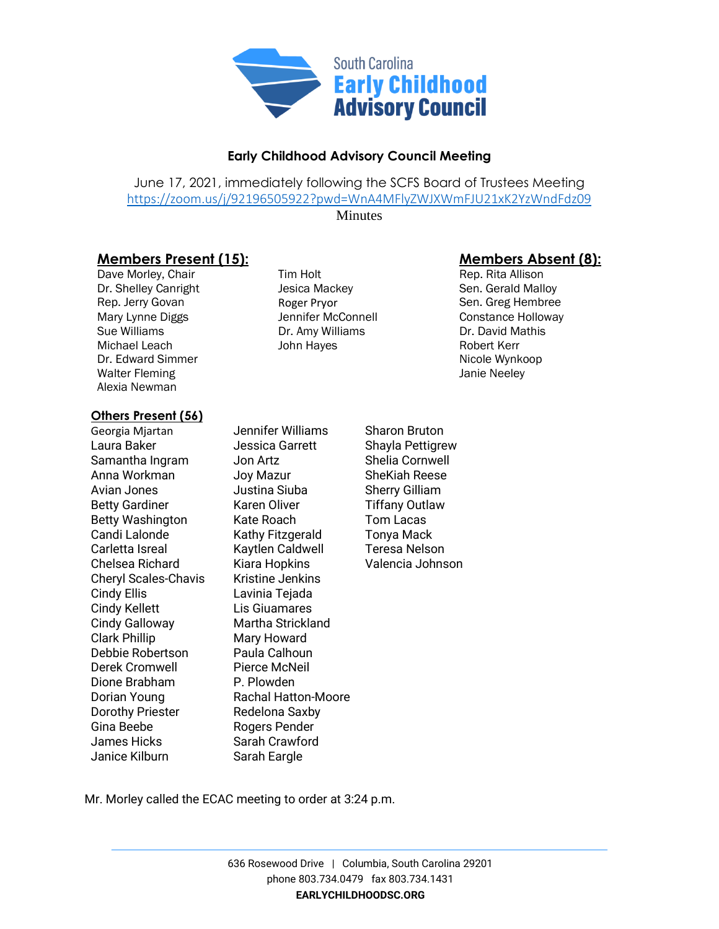

## **Early Childhood Advisory Council Meeting**

June 17, 2021, immediately following the SCFS Board of Trustees Meeting <https://zoom.us/j/92196505922?pwd=WnA4MFlyZWJXWmFJU21xK2YzWndFdz09>

**Minutes** 

## **Members Present (15): Members Absent (8):**

Dave Morley, Chair Tim Holt Rep. Rita Allison Dr. Shelley Canright **Sen. Gerald Malloy** Jesica Mackey **Sen. Gerald Malloy** Rep. Jerry Govan **Roger Pryor** Roger Pryor **Rep. Sen. Greg Hembree**<br>Mary Lynne Diggs Mary Sennifer McConnell **Senation Constance Holloway** Mary Lynne Diggs Jennifer McConnell Constance Holloway Sue Williams Dr. Amy Williams Dr. David Mathis Michael Leach **John Hayes** John Hayes Robert Kerr Dr. Edward Simmer Nicole Wynkoop Walter Fleming **Walter Fleming Janie Neeley** Alexia Newman

## **Others Present (56)**

Georgia Mjartan Jennifer Williams Sharon Bruton Laura Baker **Information** Jessica Garrett Shayla Pettigrew Samantha Ingram Jon Artz Shelia Cornwell Anna Workman Joy Mazur SheKiah Reese Avian Jones **Marko Studies** Justina Siuba Sherry Gilliam Betty Gardiner **Karen Oliver** Tiffany Outlaw Betty Washington Kate Roach Tom Lacas Candi Lalonde Kathy Fitzgerald Tonya Mack Carletta Isreal Kaytlen Caldwell Teresa Nelson Chelsea Richard Kiara Hopkins Valencia Johnson Cheryl Scales-Chavis Kristine Jenkins Cindy Ellis Lavinia Tejada Cindy Kellett Lis Giuamares Cindy Galloway Martha Strickland Clark Phillip Mary Howard Debbie Robertson Paula Calhoun Derek Cromwell Pierce McNeil Dione Brabham P. Plowden Dorian Young Rachal Hatton-Moore Dorothy Priester Redelona Saxby Gina Beebe Rogers Pender James Hicks Sarah Crawford Janice Kilburn Sarah Eargle

Mr. Morley called the ECAC meeting to order at 3:24 p.m.